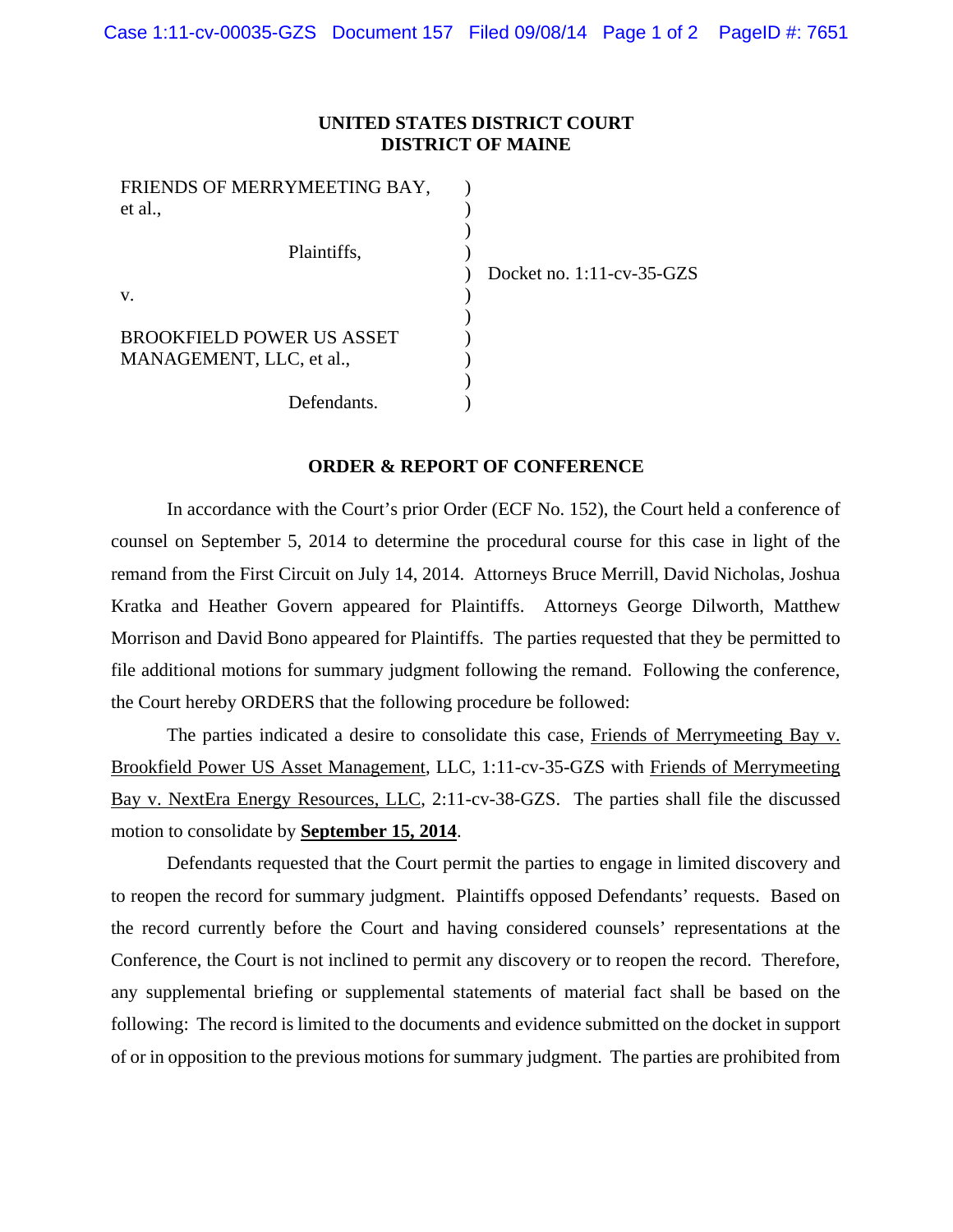## **UNITED STATES DISTRICT COURT DISTRICT OF MAINE**

| FRIENDS OF MERRYMEETING BAY, |  |
|------------------------------|--|
| et al.,                      |  |
|                              |  |
| Plaintiffs,                  |  |
|                              |  |
| v.                           |  |
|                              |  |
| BROOKFIELD POWER US ASSET    |  |
| MANAGEMENT, LLC, et al.,     |  |
|                              |  |
| Defendants.                  |  |

Docket no. 1:11-cv-35-GZS

**ORDER & REPORT OF CONFERENCE** 

In accordance with the Court's prior Order (ECF No. 152), the Court held a conference of counsel on September 5, 2014 to determine the procedural course for this case in light of the remand from the First Circuit on July 14, 2014. Attorneys Bruce Merrill, David Nicholas, Joshua Kratka and Heather Govern appeared for Plaintiffs. Attorneys George Dilworth, Matthew Morrison and David Bono appeared for Plaintiffs. The parties requested that they be permitted to file additional motions for summary judgment following the remand. Following the conference, the Court hereby ORDERS that the following procedure be followed:

The parties indicated a desire to consolidate this case, Friends of Merrymeeting Bay v. Brookfield Power US Asset Management, LLC, 1:11-cv-35-GZS with Friends of Merrymeeting Bay v. NextEra Energy Resources, LLC, 2:11-cv-38-GZS. The parties shall file the discussed motion to consolidate by **September 15, 2014**.

Defendants requested that the Court permit the parties to engage in limited discovery and to reopen the record for summary judgment. Plaintiffs opposed Defendants' requests. Based on the record currently before the Court and having considered counsels' representations at the Conference, the Court is not inclined to permit any discovery or to reopen the record. Therefore, any supplemental briefing or supplemental statements of material fact shall be based on the following: The record is limited to the documents and evidence submitted on the docket in support of or in opposition to the previous motions for summary judgment. The parties are prohibited from